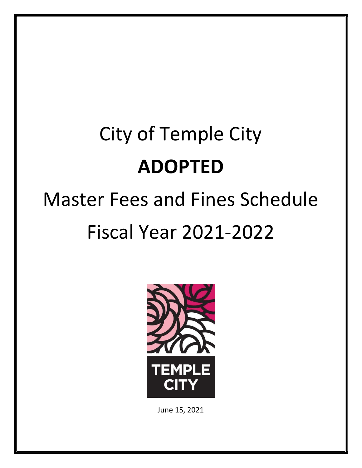# City of Temple City ADOPTED

## Master Fees and Fines Schedule Fiscal Year 2021-2022



June 15, 2021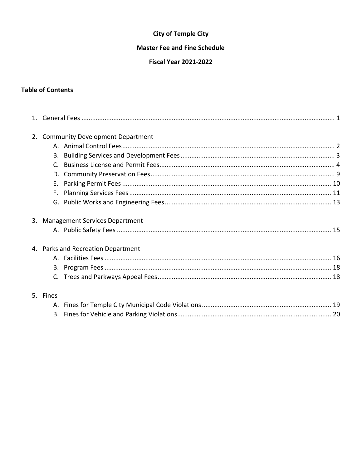#### **City of Temple City**

#### **Master Fee and Fine Schedule**

#### **Fiscal Year 2021-2022**

#### **Table of Contents**

| 2. | <b>Community Development Department</b> |  |
|----|-----------------------------------------|--|
|    |                                         |  |
|    |                                         |  |
|    | C.                                      |  |
|    | D.                                      |  |
|    | Е.                                      |  |
|    | F.                                      |  |
|    |                                         |  |
|    | 3. Management Services Department       |  |
|    |                                         |  |
|    | 4. Parks and Recreation Department      |  |
|    |                                         |  |
|    |                                         |  |
|    |                                         |  |
|    | 5. Fines                                |  |
|    |                                         |  |
|    |                                         |  |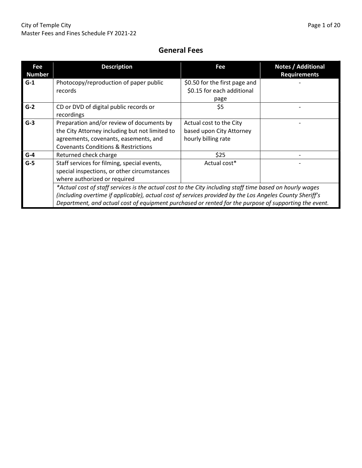#### General Fees

| Fee<br><b>Number</b>                                                                                                                | <b>Description</b>                                                                                                                                                                                                                                                                                                            | Fee                                                                        | <b>Notes / Additional</b><br><b>Requirements</b> |  |  |
|-------------------------------------------------------------------------------------------------------------------------------------|-------------------------------------------------------------------------------------------------------------------------------------------------------------------------------------------------------------------------------------------------------------------------------------------------------------------------------|----------------------------------------------------------------------------|--------------------------------------------------|--|--|
| $G-1$                                                                                                                               | Photocopy/reproduction of paper public<br>records                                                                                                                                                                                                                                                                             | \$0.50 for the first page and<br>\$0.15 for each additional<br>page        |                                                  |  |  |
| $G-2$                                                                                                                               | CD or DVD of digital public records or<br>recordings                                                                                                                                                                                                                                                                          | \$5                                                                        |                                                  |  |  |
| $G-3$                                                                                                                               | Preparation and/or review of documents by<br>the City Attorney including but not limited to<br>agreements, covenants, easements, and<br><b>Covenants Conditions &amp; Restrictions</b>                                                                                                                                        | Actual cost to the City<br>based upon City Attorney<br>hourly billing rate |                                                  |  |  |
| $G-4$                                                                                                                               | Returned check charge                                                                                                                                                                                                                                                                                                         | \$25                                                                       |                                                  |  |  |
| $G-5$<br>Staff services for filming, special events,<br>special inspections, or other circumstances<br>where authorized or required |                                                                                                                                                                                                                                                                                                                               | Actual cost*                                                               |                                                  |  |  |
|                                                                                                                                     | *Actual cost of staff services is the actual cost to the City including staff time based on hourly wages<br>(including overtime if applicable), actual cost of services provided by the Los Angeles County Sheriff's<br>Department, and actual cost of equipment purchased or rented for the purpose of supporting the event. |                                                                            |                                                  |  |  |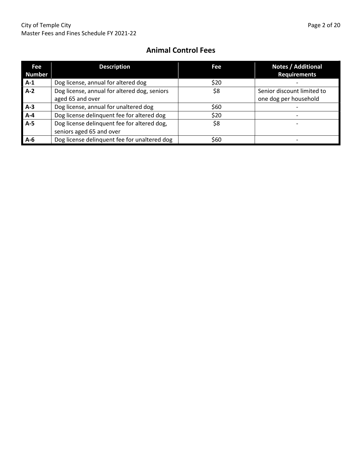#### Animal Control Fees

| Fee<br><b>Number</b> | <b>Description</b>                           | Fee  | Notes / Additional<br><b>Requirements</b> |
|----------------------|----------------------------------------------|------|-------------------------------------------|
| $A-1$                | Dog license, annual for altered dog          | \$20 |                                           |
| $A-2$                | Dog license, annual for altered dog, seniors | \$8  | Senior discount limited to                |
|                      | aged 65 and over                             |      | one dog per household                     |
| $A-3$                | Dog license, annual for unaltered dog        | \$60 |                                           |
| $A-4$                | Dog license delinquent fee for altered dog   | \$20 |                                           |
| $A-5$                | Dog license delinquent fee for altered dog,  | \$8  |                                           |
|                      | seniors aged 65 and over                     |      |                                           |
| $A-6$                | Dog license delinquent fee for unaltered dog | \$60 |                                           |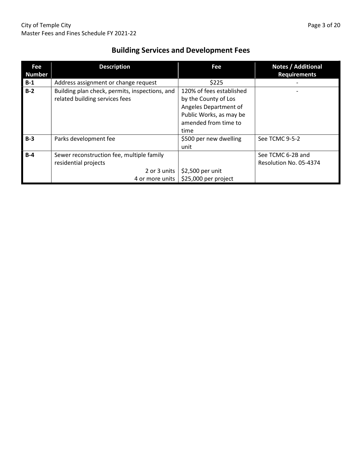| Fee<br><b>Number</b> | <b>Description</b>                                                                                   | Fee                                                                                                                          | Notes / Additional<br><b>Requirements</b>   |
|----------------------|------------------------------------------------------------------------------------------------------|------------------------------------------------------------------------------------------------------------------------------|---------------------------------------------|
| $B-1$                | Address assignment or change request                                                                 | \$225                                                                                                                        |                                             |
| $B-2$                | Building plan check, permits, inspections, and<br>related building services fees                     | 120% of fees established<br>by the County of Los<br>Angeles Department of<br>Public Works, as may be<br>amended from time to |                                             |
|                      |                                                                                                      | time                                                                                                                         |                                             |
| $B-3$                | Parks development fee                                                                                | \$500 per new dwelling<br>unit                                                                                               | See TCMC 9-5-2                              |
| $B-4$                | Sewer reconstruction fee, multiple family<br>residential projects<br>2 or 3 units<br>4 or more units | \$2,500 per unit<br>\$25,000 per project                                                                                     | See TCMC 6-2B and<br>Resolution No. 05-4374 |

## Building Services and Development Fees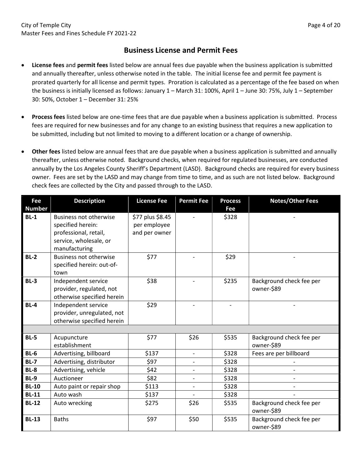#### Business License and Permit Fees

- License fees and permit fees listed below are annual fees due payable when the business application is submitted and annually thereafter, unless otherwise noted in the table. The initial license fee and permit fee payment is prorated quarterly for all license and permit types. Proration is calculated as a percentage of the fee based on when the business is initially licensed as follows: January 1 – March 31: 100%, April 1 – June 30: 75%, July 1 – September 30: 50%, October 1 – December 31: 25%
- Process fees listed below are one-time fees that are due payable when a business application is submitted. Process fees are required for new businesses and for any change to an existing business that requires a new application to be submitted, including but not limited to moving to a different location or a change of ownership.
- Other fees listed below are annual fees that are due payable when a business application is submitted and annually thereafter, unless otherwise noted. Background checks, when required for regulated businesses, are conducted annually by the Los Angeles County Sheriff's Department (LASD). Background checks are required for every business owner. Fees are set by the LASD and may change from time to time, and as such are not listed below. Background check fees are collected by the City and passed through to the LASD.

| Fee<br><b>Number</b> | <b>Description</b>                                                                                                     | <b>License Fee</b>                                | <b>Permit Fee</b>        | <b>Process</b><br>Fee    | <b>Notes/Other Fees</b>                |
|----------------------|------------------------------------------------------------------------------------------------------------------------|---------------------------------------------------|--------------------------|--------------------------|----------------------------------------|
| $BL-1$               | <b>Business not otherwise</b><br>specified herein:<br>professional, retail,<br>service, wholesale, or<br>manufacturing | \$77 plus \$8.45<br>per employee<br>and per owner |                          | \$328                    |                                        |
| $BL-2$               | <b>Business not otherwise</b><br>specified herein: out-of-<br>town                                                     | \$77                                              |                          | \$29                     |                                        |
| $BL-3$               | Independent service<br>provider, regulated, not<br>otherwise specified herein                                          | \$38                                              |                          | \$235                    | Background check fee per<br>owner-\$89 |
| <b>BL-4</b>          | Independent service<br>provider, unregulated, not<br>otherwise specified herein                                        | \$29                                              |                          | $\overline{\phantom{0}}$ |                                        |
|                      |                                                                                                                        |                                                   |                          |                          |                                        |
| $BL-5$               | Acupuncture<br>establishment                                                                                           | \$77                                              | \$26                     | \$535                    | Background check fee per<br>owner-\$89 |
| $BL-6$               | Advertising, billboard                                                                                                 | \$137                                             | $\overline{\phantom{a}}$ | \$328                    | Fees are per billboard                 |
| <b>BL-7</b>          | Advertising, distributor                                                                                               | \$97                                              | $\blacksquare$           | \$328                    |                                        |
| <b>BL-8</b>          | Advertising, vehicle                                                                                                   | \$42                                              | $\overline{\phantom{a}}$ | \$328                    |                                        |
| <b>BL-9</b>          | Auctioneer                                                                                                             | \$82                                              | $\overline{\phantom{a}}$ | \$328                    |                                        |
| <b>BL-10</b>         | Auto paint or repair shop                                                                                              | \$113                                             | $\overline{\phantom{a}}$ | \$328                    |                                        |
| <b>BL-11</b>         | Auto wash                                                                                                              | \$137                                             |                          | \$328                    |                                        |
| <b>BL-12</b>         | Auto wrecking                                                                                                          | \$275                                             | \$26                     | \$535                    | Background check fee per<br>owner-\$89 |
| <b>BL-13</b>         | <b>Baths</b>                                                                                                           | \$97                                              | \$50                     | \$535                    | Background check fee per<br>owner-\$89 |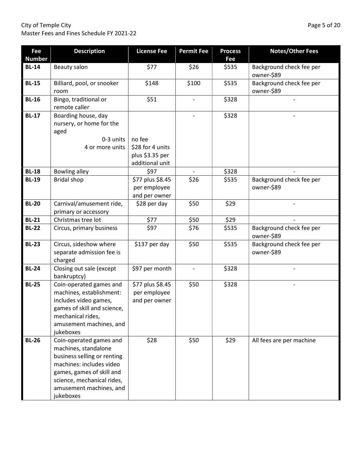#### City of Temple City Page 5 of 20 Master Fees and Fines Schedule FY 2021-22

| Fee           | <b>Description</b>                                                                                                                                                                                            | <b>License Fee</b>                                     | <b>Permit Fee</b> | <b>Process</b> | <b>Notes/Other Fees</b>                |
|---------------|---------------------------------------------------------------------------------------------------------------------------------------------------------------------------------------------------------------|--------------------------------------------------------|-------------------|----------------|----------------------------------------|
| <b>Number</b> |                                                                                                                                                                                                               |                                                        |                   | Fee            |                                        |
| <b>BL-14</b>  | <b>Beauty salon</b>                                                                                                                                                                                           | \$77                                                   | \$26              | \$535          | Background check fee per<br>owner-\$89 |
| <b>BL-15</b>  | Billiard, pool, or snooker<br>room                                                                                                                                                                            | \$148                                                  | \$100             | \$535          | Background check fee per<br>owner-\$89 |
| <b>BL-16</b>  | Bingo, traditional or<br>remote caller                                                                                                                                                                        | \$51                                                   |                   | \$328          |                                        |
| <b>BL-17</b>  | Boarding house, day<br>nursery, or home for the<br>aged<br>0-3 units                                                                                                                                          | no fee                                                 |                   | \$328          |                                        |
|               | 4 or more units                                                                                                                                                                                               | \$28 for 4 units<br>plus \$3.35 per<br>additional unit |                   |                |                                        |
| <b>BL-18</b>  | <b>Bowling alley</b>                                                                                                                                                                                          | \$97                                                   |                   | \$328          |                                        |
| <b>BL-19</b>  | <b>Bridal shop</b>                                                                                                                                                                                            | \$77 plus \$8.45<br>per employee<br>and per owner      | \$26              | \$535          | Background check fee per<br>owner-\$89 |
| <b>BL-20</b>  | Carnival/amusement ride,<br>primary or accessory                                                                                                                                                              | \$28 per day                                           | \$50              | \$29           |                                        |
| <b>BL-21</b>  | Christmas tree lot                                                                                                                                                                                            | \$77                                                   | \$50              | \$29           |                                        |
| <b>BL-22</b>  | Circus, primary business                                                                                                                                                                                      | \$97                                                   | \$76              | \$535          | Background check fee per<br>owner-\$89 |
| <b>BL-23</b>  | Circus, sideshow where<br>separate admission fee is<br>charged                                                                                                                                                | \$137 per day                                          | \$50              | \$535          | Background check fee per<br>owner-\$89 |
| <b>BL-24</b>  | Closing out sale (except<br>bankruptcy)                                                                                                                                                                       | \$97 per month                                         |                   | \$328          |                                        |
| <b>BL-25</b>  | Coin-operated games and<br>machines, establishment:<br>includes video games,<br>games of skill and science,<br>mechanical rides,<br>amusement machines, and<br>jukeboxes                                      | \$77 plus \$8.45<br>per employee<br>and per owner      | \$50              | \$328          |                                        |
| <b>BL-26</b>  | Coin-operated games and<br>machines, standalone<br>business selling or renting<br>machines: includes video<br>games, games of skill and<br>science, mechanical rides,<br>amusement machines, and<br>jukeboxes | \$28                                                   | \$50              | \$29           | All fees are per machine               |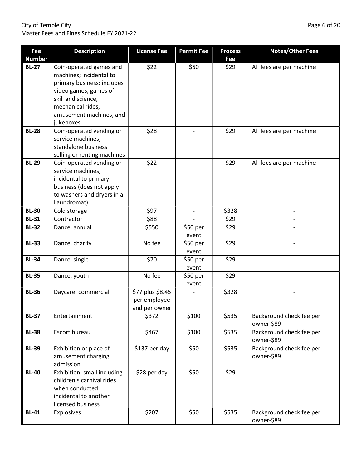#### City of Temple City **Page 6 of 20** Master Fees and Fines Schedule FY 2021-22

| Fee<br><b>Number</b> | <b>Description</b>                                                                                                                                                                           | <b>License Fee</b>                                | <b>Permit Fee</b> | <b>Process</b><br>Fee | <b>Notes/Other Fees</b>                |
|----------------------|----------------------------------------------------------------------------------------------------------------------------------------------------------------------------------------------|---------------------------------------------------|-------------------|-----------------------|----------------------------------------|
| <b>BL-27</b>         | Coin-operated games and<br>machines; incidental to<br>primary business: includes<br>video games, games of<br>skill and science,<br>mechanical rides,<br>amusement machines, and<br>jukeboxes | \$22                                              | \$50              | \$29                  | All fees are per machine               |
| <b>BL-28</b>         | Coin-operated vending or<br>service machines,<br>standalone business<br>selling or renting machines                                                                                          | \$28                                              |                   | \$29                  | All fees are per machine               |
| <b>BL-29</b>         | Coin-operated vending or<br>service machines,<br>incidental to primary<br>business (does not apply<br>to washers and dryers in a<br>Laundromat)                                              | \$22                                              |                   | \$29                  | All fees are per machine               |
| <b>BL-30</b>         | Cold storage                                                                                                                                                                                 | \$97                                              |                   | \$328                 |                                        |
| <b>BL-31</b>         | Contractor                                                                                                                                                                                   | \$88                                              |                   | \$29                  |                                        |
| <b>BL-32</b>         | Dance, annual                                                                                                                                                                                | \$550                                             | \$50 per<br>event | \$29                  |                                        |
| <b>BL-33</b>         | Dance, charity                                                                                                                                                                               | No fee                                            | \$50 per<br>event | \$29                  |                                        |
| <b>BL-34</b>         | Dance, single                                                                                                                                                                                | \$70                                              | \$50 per<br>event | \$29                  |                                        |
| <b>BL-35</b>         | Dance, youth                                                                                                                                                                                 | No fee                                            | \$50 per<br>event | \$29                  |                                        |
| <b>BL-36</b>         | Daycare, commercial                                                                                                                                                                          | \$77 plus \$8.45<br>per employee<br>and per owner |                   | \$328                 |                                        |
| <b>BL-37</b>         | Entertainment                                                                                                                                                                                | \$372                                             | \$100             | \$535                 | Background check fee per<br>owner-\$89 |
| <b>BL-38</b>         | Escort bureau                                                                                                                                                                                | \$467                                             | \$100             | \$535                 | Background check fee per<br>owner-\$89 |
| <b>BL-39</b>         | Exhibition or place of<br>amusement charging<br>admission                                                                                                                                    | \$137 per day                                     | \$50              | \$535                 | Background check fee per<br>owner-\$89 |
| <b>BL-40</b>         | Exhibition, small including<br>children's carnival rides<br>when conducted<br>incidental to another<br>licensed business                                                                     | \$28 per day                                      | \$50              | \$29                  |                                        |
| <b>BL-41</b>         | Explosives                                                                                                                                                                                   | \$207                                             | \$50              | \$535                 | Background check fee per<br>owner-\$89 |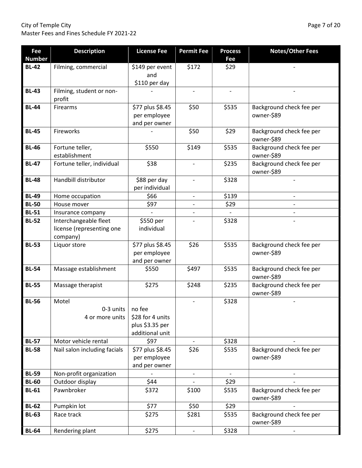City of Temple City Page 7 of 20 Master Fees and Fines Schedule FY 2021-22

| Fee<br><b>Number</b> | <b>Description</b>           | <b>License Fee</b> | <b>Permit Fee</b>        | <b>Process</b><br>Fee | <b>Notes/Other Fees</b>                |
|----------------------|------------------------------|--------------------|--------------------------|-----------------------|----------------------------------------|
| <b>BL-42</b>         | Filming, commercial          | \$149 per event    | \$172                    | \$29                  |                                        |
|                      |                              | and                |                          |                       |                                        |
|                      |                              | \$110 per day      |                          |                       |                                        |
| <b>BL-43</b>         | Filming, student or non-     |                    | $\overline{\phantom{a}}$ | $\blacksquare$        |                                        |
|                      | profit                       |                    |                          |                       |                                        |
| <b>BL-44</b>         | Firearms                     | \$77 plus \$8.45   | \$50                     | \$535                 | Background check fee per               |
|                      |                              | per employee       |                          |                       | owner-\$89                             |
|                      |                              | and per owner      |                          |                       |                                        |
| <b>BL-45</b>         | Fireworks                    |                    | \$50                     | \$29                  | Background check fee per<br>owner-\$89 |
| <b>BL-46</b>         | Fortune teller,              | \$550              | \$149                    | \$535                 | Background check fee per               |
|                      | establishment                |                    |                          |                       | owner-\$89                             |
| <b>BL-47</b>         | Fortune teller, individual   | \$38               |                          | \$235                 | Background check fee per<br>owner-\$89 |
| <b>BL-48</b>         | Handbill distributor         | \$88 per day       | $\overline{\phantom{a}}$ | \$328                 |                                        |
|                      |                              | per individual     |                          |                       |                                        |
| <b>BL-49</b>         | Home occupation              | \$66               | $\overline{\phantom{a}}$ | \$139                 |                                        |
| <b>BL-50</b>         | House mover                  | \$97               | $\overline{\phantom{a}}$ | \$29                  |                                        |
| <b>BL-51</b>         | Insurance company            |                    |                          |                       |                                        |
| <b>BL-52</b>         | Interchangeable fleet        | \$550 per          |                          | \$328                 |                                        |
|                      | license (representing one    | individual         |                          |                       |                                        |
|                      | company)                     |                    |                          |                       |                                        |
| <b>BL-53</b>         | Liquor store                 | \$77 plus \$8.45   | \$26                     | \$535                 | Background check fee per               |
|                      |                              | per employee       |                          |                       | owner-\$89                             |
|                      |                              | and per owner      |                          |                       |                                        |
| <b>BL-54</b>         | Massage establishment        | \$550              | \$497                    | \$535                 | Background check fee per               |
|                      |                              |                    |                          |                       | owner-\$89                             |
| <b>BL-55</b>         | Massage therapist            | \$275              | \$248                    | \$235                 | Background check fee per<br>owner-\$89 |
| <b>BL-56</b>         | Motel                        |                    |                          | \$328                 |                                        |
|                      | 0-3 units                    | no fee             |                          |                       |                                        |
|                      | 4 or more units              | \$28 for 4 units   |                          |                       |                                        |
|                      |                              | plus \$3.35 per    |                          |                       |                                        |
|                      |                              | additional unit    |                          |                       |                                        |
| <b>BL-57</b>         | Motor vehicle rental         | \$97               |                          | \$328                 |                                        |
| <b>BL-58</b>         | Nail salon including facials | \$77 plus \$8.45   | \$26                     | \$535                 | Background check fee per               |
|                      |                              | per employee       |                          |                       | owner-\$89                             |
|                      |                              | and per owner      |                          |                       |                                        |
| <b>BL-59</b>         | Non-profit organization      |                    |                          |                       |                                        |
| <b>BL-60</b>         | Outdoor display              | \$44               |                          | \$29                  |                                        |
| <b>BL-61</b>         | Pawnbroker                   | \$372              | \$100                    | \$535                 | Background check fee per               |
|                      |                              |                    |                          |                       | owner-\$89                             |
| <b>BL-62</b>         | Pumpkin lot                  | \$77               | \$50                     | \$29                  |                                        |
| <b>BL-63</b>         | Race track                   | \$275              | \$281                    | \$535                 | Background check fee per<br>owner-\$89 |
| <b>BL-64</b>         | Rendering plant              | \$275              | $\overline{\phantom{a}}$ | \$328                 |                                        |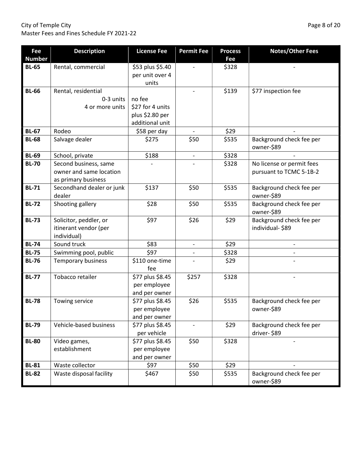City of Temple City Page 8 of 20 Master Fees and Fines Schedule FY 2021-22

| Fee                           | <b>Description</b>                  | <b>License Fee</b>                  | <b>Permit Fee</b> | <b>Process</b> | <b>Notes/Other Fees</b>                |
|-------------------------------|-------------------------------------|-------------------------------------|-------------------|----------------|----------------------------------------|
| <b>Number</b><br><b>BL-65</b> |                                     |                                     |                   | Fee            |                                        |
|                               | Rental, commercial                  | \$53 plus \$5.40<br>per unit over 4 |                   | \$328          |                                        |
|                               |                                     | units                               |                   |                |                                        |
| <b>BL-66</b>                  | Rental, residential                 |                                     |                   | \$139          | \$77 inspection fee                    |
|                               | 0-3 units                           | no fee                              |                   |                |                                        |
|                               | 4 or more units                     | \$27 for 4 units                    |                   |                |                                        |
|                               |                                     | plus \$2.80 per                     |                   |                |                                        |
|                               |                                     | additional unit                     |                   |                |                                        |
| <b>BL-67</b>                  | Rodeo                               | \$58 per day                        |                   | \$29           |                                        |
| <b>BL-68</b>                  | Salvage dealer                      | \$275                               | \$50              | \$535          | Background check fee per<br>owner-\$89 |
| <b>BL-69</b>                  | School, private                     | \$188                               |                   | \$328          |                                        |
| <b>BL-70</b>                  | Second business, same               |                                     |                   | \$328          | No license or permit fees              |
|                               | owner and same location             |                                     |                   |                | pursuant to TCMC 5-1B-2                |
|                               | as primary business                 |                                     |                   |                |                                        |
| <b>BL-71</b>                  | Secondhand dealer or junk<br>dealer | \$137                               | \$50              | \$535          | Background check fee per<br>owner-\$89 |
| <b>BL-72</b>                  | Shooting gallery                    | \$28                                | \$50              | \$535          | Background check fee per<br>owner-\$89 |
| <b>BL-73</b>                  | Solicitor, peddler, or              | \$97                                | \$26              | \$29           | Background check fee per               |
|                               | itinerant vendor (per               |                                     |                   |                | individual-\$89                        |
|                               | individual)                         |                                     |                   |                |                                        |
| <b>BL-74</b>                  | Sound truck                         | \$83                                |                   | \$29           |                                        |
| <b>BL-75</b>                  | Swimming pool, public               | \$97                                |                   | \$328          |                                        |
| <b>BL-76</b>                  | Temporary business                  | \$110 one-time<br>fee               |                   | \$29           |                                        |
| <b>BL-77</b>                  | Tobacco retailer                    | \$77 plus \$8.45                    | \$257             | \$328          |                                        |
|                               |                                     | per employee                        |                   |                |                                        |
| <b>BL-78</b>                  | Towing service                      | and per owner<br>\$77 plus \$8.45   | \$26              | \$535          | Background check fee per               |
|                               |                                     | per employee                        |                   |                | owner-\$89                             |
|                               |                                     | and per owner                       |                   |                |                                        |
| <b>BL-79</b>                  | Vehicle-based business              | \$77 plus \$8.45                    |                   | \$29           | Background check fee per               |
|                               |                                     | per vehicle                         |                   |                | driver-\$89                            |
| <b>BL-80</b>                  | Video games,                        | \$77 plus \$8.45                    | \$50              | \$328          |                                        |
|                               | establishment                       | per employee                        |                   |                |                                        |
|                               |                                     | and per owner                       |                   |                |                                        |
| <b>BL-81</b>                  | Waste collector                     | \$97                                | \$50              | \$29           |                                        |
| <b>BL-82</b>                  | Waste disposal facility             | \$467                               | \$50              | \$535          | Background check fee per<br>owner-\$89 |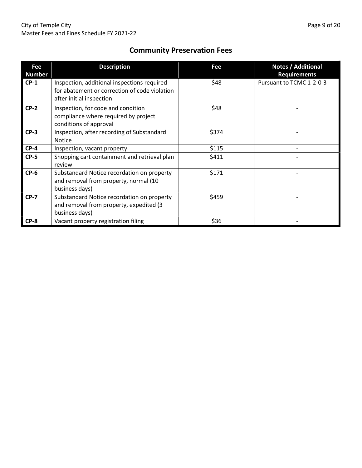#### Community Preservation Fees

| Fee<br><b>Number</b> | <b>Description</b>                                                                                                       | Fee   | <b>Notes / Additional</b><br><b>Requirements</b> |
|----------------------|--------------------------------------------------------------------------------------------------------------------------|-------|--------------------------------------------------|
| $CP-1$               | Inspection, additional inspections required<br>for abatement or correction of code violation<br>after initial inspection | \$48  | Pursuant to TCMC 1-2-0-3                         |
| $CP-2$               | Inspection, for code and condition<br>compliance where required by project<br>conditions of approval                     | \$48  |                                                  |
| $CP-3$               | Inspection, after recording of Substandard<br><b>Notice</b>                                                              | \$374 |                                                  |
| $CP-4$               | Inspection, vacant property                                                                                              | \$115 |                                                  |
| $CP-5$               | Shopping cart containment and retrieval plan<br>review                                                                   | \$411 |                                                  |
| $CP-6$               | Substandard Notice recordation on property<br>and removal from property, normal (10<br>business days)                    | \$171 |                                                  |
| $CP-7$               | Substandard Notice recordation on property<br>and removal from property, expedited (3<br>business days)                  | \$459 |                                                  |
| $CP-8$               | Vacant property registration filing                                                                                      | \$36  |                                                  |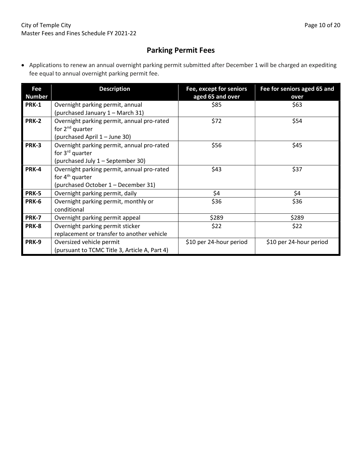#### Parking Permit Fees

 Applications to renew an annual overnight parking permit submitted after December 1 will be charged an expediting fee equal to annual overnight parking permit fee.

| Fee<br><b>Number</b> | <b>Description</b>                                                                                             | Fee, except for seniors<br>aged 65 and over | Fee for seniors aged 65 and<br>over |
|----------------------|----------------------------------------------------------------------------------------------------------------|---------------------------------------------|-------------------------------------|
| <b>PRK-1</b>         | Overnight parking permit, annual<br>(purchased January 1 - March 31)                                           | \$85                                        | \$63                                |
| <b>PRK-2</b>         | Overnight parking permit, annual pro-rated<br>for 2 <sup>nd</sup> quarter<br>(purchased April 1 - June 30)     | \$72                                        | \$54                                |
| <b>PRK-3</b>         | Overnight parking permit, annual pro-rated<br>for 3 <sup>rd</sup> quarter<br>(purchased July 1 - September 30) | \$56                                        | \$45                                |
| <b>PRK-4</b>         | Overnight parking permit, annual pro-rated<br>for $4th$ quarter<br>(purchased October 1 – December 31)         | \$43                                        | \$37                                |
| PRK-5                | Overnight parking permit, daily                                                                                | \$4                                         | \$4                                 |
| PRK-6                | Overnight parking permit, monthly or<br>conditional                                                            | \$36                                        | \$36                                |
| <b>PRK-7</b>         | Overnight parking permit appeal                                                                                | \$289                                       | \$289                               |
| PRK-8                | Overnight parking permit sticker<br>replacement or transfer to another vehicle                                 | \$22                                        | \$22                                |
| <b>PRK-9</b>         | Oversized vehicle permit<br>(pursuant to TCMC Title 3, Article A, Part 4)                                      | \$10 per 24-hour period                     | \$10 per 24-hour period             |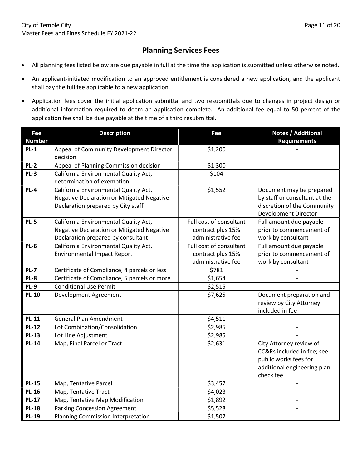#### Planning Services Fees

- All planning fees listed below are due payable in full at the time the application is submitted unless otherwise noted.
- An applicant-initiated modification to an approved entitlement is considered a new application, and the applicant shall pay the full fee applicable to a new application.
- Application fees cover the initial application submittal and two resubmittals due to changes in project design or additional information required to deem an application complete. An additional fee equal to 50 percent of the application fee shall be due payable at the time of a third resubmittal.

| Fee           | <b>Description</b>                                               | Fee                     | <b>Notes / Additional</b>     |
|---------------|------------------------------------------------------------------|-------------------------|-------------------------------|
| <b>Number</b> |                                                                  |                         | <b>Requirements</b>           |
| $PL-1$        | Appeal of Community Development Director                         | \$1,200                 |                               |
|               | decision                                                         |                         |                               |
| $PL-2$        | Appeal of Planning Commission decision                           | \$1,300                 |                               |
| PL-3          | California Environmental Quality Act,                            | \$104                   |                               |
|               | determination of exemption                                       |                         |                               |
| PL-4          | \$1,552<br>California Environmental Quality Act,                 |                         | Document may be prepared      |
|               | Negative Declaration or Mitigated Negative                       |                         | by staff or consultant at the |
|               | Declaration prepared by City staff                               |                         | discretion of the Community   |
|               |                                                                  |                         | Development Director          |
| <b>PL-5</b>   | California Environmental Quality Act,<br>Full cost of consultant |                         | Full amount due payable       |
|               | Negative Declaration or Mitigated Negative                       | contract plus 15%       | prior to commencement of      |
|               | Declaration prepared by consultant                               | administrative fee      | work by consultant            |
| <b>PL-6</b>   | California Environmental Quality Act,                            | Full cost of consultant |                               |
|               | <b>Environmental Impact Report</b>                               | contract plus 15%       | prior to commencement of      |
|               |                                                                  | administrative fee      | work by consultant            |
| PL-7          | Certificate of Compliance, 4 parcels or less                     | \$781                   |                               |
| PL-8          | Certificate of Compliance, 5 parcels or more                     | \$1,654                 |                               |
| PL-9          | <b>Conditional Use Permit</b>                                    | \$2,515                 |                               |
| <b>PL-10</b>  | Development Agreement                                            | \$7,625                 | Document preparation and      |
|               |                                                                  |                         | review by City Attorney       |
|               |                                                                  |                         | included in fee               |
| <b>PL-11</b>  | <b>General Plan Amendment</b>                                    | \$4,511                 |                               |
| <b>PL-12</b>  | Lot Combination/Consolidation                                    | \$2,985                 |                               |
| <b>PL-13</b>  | Lot Line Adjustment                                              | \$2,985                 |                               |
| <b>PL-14</b>  | Map, Final Parcel or Tract                                       | \$2,631                 | City Attorney review of       |
|               |                                                                  |                         | CC&Rs included in fee; see    |
|               |                                                                  |                         | public works fees for         |
|               |                                                                  |                         | additional engineering plan   |
|               |                                                                  |                         | check fee                     |
| <b>PL-15</b>  | Map, Tentative Parcel                                            | \$3,457                 | $\overline{a}$                |
| <b>PL-16</b>  | Map, Tentative Tract                                             | \$4,023                 |                               |
| <b>PL-17</b>  | Map, Tentative Map Modification                                  | \$1,892                 |                               |
| <b>PL-18</b>  | <b>Parking Concession Agreement</b>                              | \$5,528                 |                               |
| <b>PL-19</b>  | Planning Commission Interpretation                               | \$1,507                 |                               |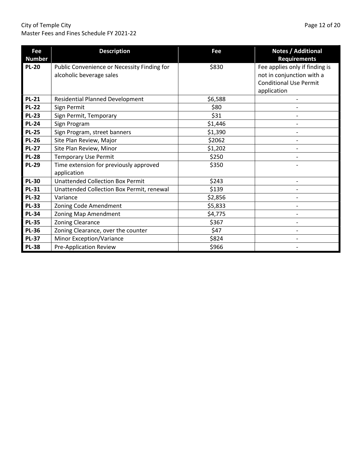#### City of Temple City **Page 12 of 20** Master Fees and Fines Schedule FY 2021-22

| Fee<br><b>Number</b> | <b>Description</b>                                                      | Fee     | Notes / Additional<br><b>Requirements</b>                                                                   |
|----------------------|-------------------------------------------------------------------------|---------|-------------------------------------------------------------------------------------------------------------|
| <b>PL-20</b>         | Public Convenience or Necessity Finding for<br>alcoholic beverage sales | \$830   | Fee applies only if finding is<br>not in conjunction with a<br><b>Conditional Use Permit</b><br>application |
| <b>PL-21</b>         | <b>Residential Planned Development</b>                                  | \$6,588 |                                                                                                             |
| <b>PL-22</b>         | Sign Permit                                                             | \$80    |                                                                                                             |
| <b>PL-23</b>         | Sign Permit, Temporary                                                  | \$31    |                                                                                                             |
| <b>PL-24</b>         | Sign Program                                                            | \$1,446 |                                                                                                             |
| <b>PL-25</b>         | Sign Program, street banners                                            | \$1,390 |                                                                                                             |
| <b>PL-26</b>         | Site Plan Review, Major                                                 | \$2062  |                                                                                                             |
| <b>PL-27</b>         | Site Plan Review, Minor                                                 | \$1,202 |                                                                                                             |
| <b>PL-28</b>         | <b>Temporary Use Permit</b>                                             | \$250   |                                                                                                             |
| <b>PL-29</b>         | Time extension for previously approved<br>application                   | \$350   |                                                                                                             |
| <b>PL-30</b>         | <b>Unattended Collection Box Permit</b>                                 | \$243   |                                                                                                             |
| <b>PL-31</b>         | Unattended Collection Box Permit, renewal                               | \$139   |                                                                                                             |
| <b>PL-32</b>         | Variance                                                                | \$2,856 |                                                                                                             |
| <b>PL-33</b>         | Zoning Code Amendment                                                   | \$5,833 |                                                                                                             |
| <b>PL-34</b>         | Zoning Map Amendment                                                    | \$4,775 |                                                                                                             |
| <b>PL-35</b>         | <b>Zoning Clearance</b>                                                 | \$367   |                                                                                                             |
| <b>PL-36</b>         | Zoning Clearance, over the counter                                      | \$47    |                                                                                                             |
| <b>PL-37</b>         | Minor Exception/Variance                                                | \$824   |                                                                                                             |
| <b>PL-38</b>         | <b>Pre-Application Review</b>                                           | \$966   |                                                                                                             |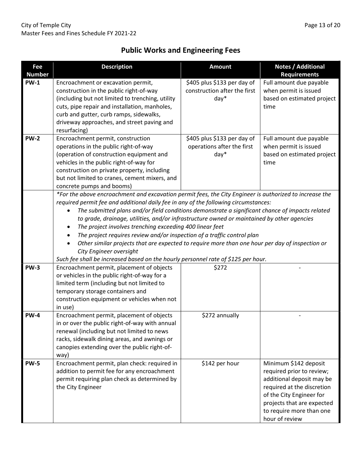## Public Works and Engineering Fees

| Fee           | <b>Description</b>                                                                                      | <b>Amount</b>                                                                                                                                          | Notes / Additional                               |  |  |
|---------------|---------------------------------------------------------------------------------------------------------|--------------------------------------------------------------------------------------------------------------------------------------------------------|--------------------------------------------------|--|--|
| <b>Number</b> |                                                                                                         |                                                                                                                                                        | <b>Requirements</b>                              |  |  |
| <b>PW-1</b>   | Encroachment or excavation permit,                                                                      | \$405 plus \$133 per day of                                                                                                                            | Full amount due payable                          |  |  |
|               | construction in the public right-of-way                                                                 | construction after the first                                                                                                                           | when permit is issued                            |  |  |
|               | (including but not limited to trenching, utility                                                        | day*                                                                                                                                                   | based on estimated project                       |  |  |
|               | cuts, pipe repair and installation, manholes,                                                           |                                                                                                                                                        | time                                             |  |  |
|               | curb and gutter, curb ramps, sidewalks,                                                                 |                                                                                                                                                        |                                                  |  |  |
|               | driveway approaches, and street paving and                                                              |                                                                                                                                                        |                                                  |  |  |
| <b>PW-2</b>   | resurfacing)                                                                                            |                                                                                                                                                        |                                                  |  |  |
|               | Encroachment permit, construction<br>operations in the public right-of-way                              | \$405 plus \$133 per day of                                                                                                                            | Full amount due payable<br>when permit is issued |  |  |
|               | (operation of construction equipment and                                                                | operations after the first<br>$day*$                                                                                                                   | based on estimated project                       |  |  |
|               | vehicles in the public right-of-way for                                                                 |                                                                                                                                                        | time                                             |  |  |
|               | construction on private property, including                                                             |                                                                                                                                                        |                                                  |  |  |
|               | but not limited to cranes, cement mixers, and                                                           |                                                                                                                                                        |                                                  |  |  |
|               | concrete pumps and booms)                                                                               |                                                                                                                                                        |                                                  |  |  |
|               | *For the above encroachment and excavation permit fees, the City Engineer is authorized to increase the |                                                                                                                                                        |                                                  |  |  |
|               | required permit fee and additional daily fee in any of the following circumstances:                     |                                                                                                                                                        |                                                  |  |  |
|               | The submitted plans and/or field conditions demonstrate a significant chance of impacts related         |                                                                                                                                                        |                                                  |  |  |
|               |                                                                                                         |                                                                                                                                                        |                                                  |  |  |
|               | ٠                                                                                                       | to grade, drainage, utilities, and/or infrastructure owned or maintained by other agencies<br>The project involves trenching exceeding 400 linear feet |                                                  |  |  |
|               | The project requires review and/or inspection of a traffic control plan                                 |                                                                                                                                                        |                                                  |  |  |
|               | Other similar projects that are expected to require more than one hour per day of inspection or         |                                                                                                                                                        |                                                  |  |  |
|               | City Engineer oversight                                                                                 |                                                                                                                                                        |                                                  |  |  |
|               | Such fee shall be increased based on the hourly personnel rate of \$125 per hour.                       |                                                                                                                                                        |                                                  |  |  |
| <b>PW-3</b>   | Encroachment permit, placement of objects                                                               | \$272                                                                                                                                                  |                                                  |  |  |
|               | or vehicles in the public right-of-way for a                                                            |                                                                                                                                                        |                                                  |  |  |
|               | limited term (including but not limited to                                                              |                                                                                                                                                        |                                                  |  |  |
|               | temporary storage containers and                                                                        |                                                                                                                                                        |                                                  |  |  |
|               | construction equipment or vehicles when not                                                             |                                                                                                                                                        |                                                  |  |  |
|               | in use)                                                                                                 |                                                                                                                                                        |                                                  |  |  |
| <b>PW-4</b>   | Encroachment permit, placement of objects                                                               | \$272 annually                                                                                                                                         |                                                  |  |  |
|               | in or over the public right-of-way with annual                                                          |                                                                                                                                                        |                                                  |  |  |
|               | renewal (including but not limited to news                                                              |                                                                                                                                                        |                                                  |  |  |
|               | racks, sidewalk dining areas, and awnings or                                                            |                                                                                                                                                        |                                                  |  |  |
|               | canopies extending over the public right-of-                                                            |                                                                                                                                                        |                                                  |  |  |
|               | way)                                                                                                    |                                                                                                                                                        |                                                  |  |  |
| <b>PW-5</b>   | Encroachment permit, plan check: required in                                                            | \$142 per hour                                                                                                                                         | Minimum \$142 deposit                            |  |  |
|               | addition to permit fee for any encroachment                                                             |                                                                                                                                                        | required prior to review;                        |  |  |
|               | permit requiring plan check as determined by                                                            |                                                                                                                                                        | additional deposit may be                        |  |  |
|               | the City Engineer                                                                                       |                                                                                                                                                        | required at the discretion                       |  |  |
|               |                                                                                                         |                                                                                                                                                        | of the City Engineer for                         |  |  |
|               |                                                                                                         |                                                                                                                                                        | projects that are expected                       |  |  |
|               |                                                                                                         |                                                                                                                                                        | to require more than one                         |  |  |
|               |                                                                                                         |                                                                                                                                                        | hour of review                                   |  |  |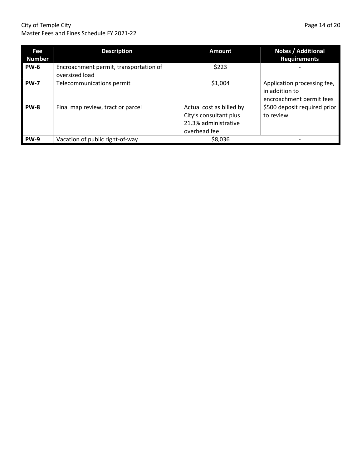#### City of Temple City **Page 14 of 20** Master Fees and Fines Schedule FY 2021-22

| Fee<br><b>Number</b> | <b>Description</b>                                       | <b>Amount</b>                                                                              | <b>Notes / Additional</b><br><b>Requirements</b>                          |
|----------------------|----------------------------------------------------------|--------------------------------------------------------------------------------------------|---------------------------------------------------------------------------|
| <b>PW-6</b>          | Encroachment permit, transportation of<br>oversized load | \$223                                                                                      |                                                                           |
| <b>PW-7</b>          | Telecommunications permit                                | \$1,004                                                                                    | Application processing fee,<br>in addition to<br>encroachment permit fees |
| <b>PW-8</b>          | Final map review, tract or parcel                        | Actual cost as billed by<br>City's consultant plus<br>21.3% administrative<br>overhead fee | \$500 deposit required prior<br>to review                                 |
| <b>PW-9</b>          | Vacation of public right-of-way                          | \$8,036                                                                                    |                                                                           |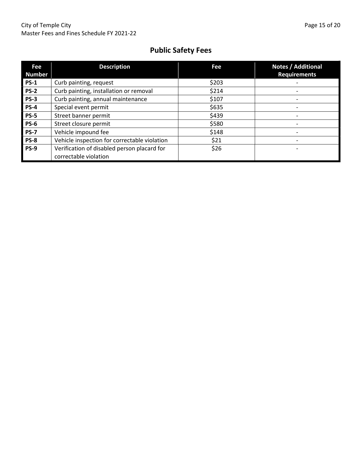## Public Safety Fees

| Fee<br><b>Number</b> | <b>Description</b>                                                   | Fee   | Notes / Additional<br><b>Requirements</b> |
|----------------------|----------------------------------------------------------------------|-------|-------------------------------------------|
| <b>PS-1</b>          | Curb painting, request                                               | \$203 |                                           |
| <b>PS-2</b>          | Curb painting, installation or removal                               | \$214 |                                           |
| $PS-3$               | Curb painting, annual maintenance                                    | \$107 |                                           |
| <b>PS-4</b>          | Special event permit                                                 | \$635 |                                           |
| <b>PS-5</b>          | Street banner permit                                                 | \$439 |                                           |
| <b>PS-6</b>          | Street closure permit                                                | \$580 |                                           |
| <b>PS-7</b>          | Vehicle impound fee                                                  | \$148 |                                           |
| <b>PS-8</b>          | Vehicle inspection for correctable violation                         | \$21  |                                           |
| <b>PS-9</b>          | Verification of disabled person placard for<br>correctable violation | \$26  |                                           |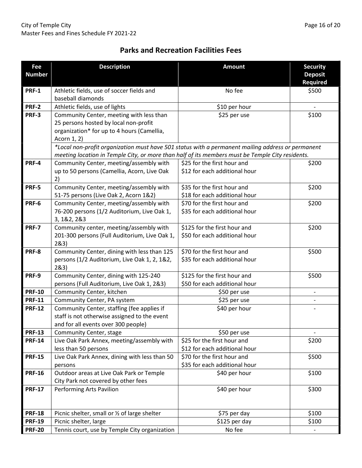#### Parks and Recreation Facilities Fees

| Fee<br><b>Number</b> | <b>Description</b>                                                                                | <b>Amount</b>                                                 | <b>Security</b><br><b>Deposit</b> |
|----------------------|---------------------------------------------------------------------------------------------------|---------------------------------------------------------------|-----------------------------------|
|                      |                                                                                                   |                                                               | <b>Required</b>                   |
| <b>PRF-1</b>         | Athletic fields, use of soccer fields and<br>baseball diamonds                                    | No fee                                                        | \$500                             |
| <b>PRF-2</b>         | Athletic fields, use of lights                                                                    | \$10 per hour                                                 |                                   |
| PRF-3                | Community Center, meeting with less than                                                          | \$25 per use                                                  | \$100                             |
|                      | 25 persons hosted by local non-profit                                                             |                                                               |                                   |
|                      | organization* for up to 4 hours (Camellia,                                                        |                                                               |                                   |
|                      | Acorn 1, 2)                                                                                       |                                                               |                                   |
|                      | *Local non-profit organization must have 501 status with a permanent mailing address or permanent |                                                               |                                   |
|                      | meeting location in Temple City, or more than half of its members must be Temple City residents.  |                                                               |                                   |
| PRF-4                | Community Center, meeting/assembly with                                                           | \$25 for the first hour and                                   | \$200                             |
|                      | up to 50 persons (Camellia, Acorn, Live Oak                                                       | \$12 for each additional hour                                 |                                   |
|                      | 2)                                                                                                |                                                               |                                   |
| <b>PRF-5</b>         | Community Center, meeting/assembly with                                                           | \$35 for the first hour and                                   | \$200                             |
|                      | 51-75 persons (Live Oak 2, Acorn 1&2)                                                             | \$18 for each additional hour                                 |                                   |
| PRF-6                | Community Center, meeting/assembly with                                                           | \$70 for the first hour and                                   | \$200                             |
|                      | 76-200 persons (1/2 Auditorium, Live Oak 1,                                                       | \$35 for each additional hour                                 |                                   |
|                      | 3, 1&2, 2&3                                                                                       |                                                               |                                   |
| <b>PRF-7</b>         | Community center, meeting/assembly with                                                           | \$125 for the first hour and                                  | \$200                             |
|                      | 201-300 persons (Full Auditorium, Live Oak 1,                                                     | \$50 for each additional hour                                 |                                   |
|                      | 283)                                                                                              |                                                               |                                   |
| PRF-8                | Community Center, dining with less than 125                                                       | \$70 for the first hour and                                   | \$500                             |
|                      | persons (1/2 Auditorium, Live Oak 1, 2, 1&2,                                                      | \$35 for each additional hour                                 |                                   |
|                      | 283)                                                                                              |                                                               |                                   |
| PRF-9                | Community Center, dining with 125-240                                                             | \$125 for the first hour and<br>\$50 for each additional hour | \$500                             |
| <b>PRF-10</b>        | persons (Full Auditorium, Live Oak 1, 2&3)                                                        |                                                               |                                   |
| <b>PRF-11</b>        | Community Center, kitchen<br>Community Center, PA system                                          | \$50 per use<br>\$25 per use                                  |                                   |
| <b>PRF-12</b>        | Community Center, staffing (fee applies if                                                        | \$40 per hour                                                 |                                   |
|                      | staff is not otherwise assigned to the event                                                      |                                                               |                                   |
|                      | and for all events over 300 people)                                                               |                                                               |                                   |
| <b>PRF-13</b>        | Community Center, stage                                                                           | \$50 per use                                                  |                                   |
| <b>PRF-14</b>        | Live Oak Park Annex, meeting/assembly with                                                        | \$25 for the first hour and                                   | \$200                             |
|                      | less than 50 persons                                                                              | \$12 for each additional hour                                 |                                   |
| <b>PRF-15</b>        | Live Oak Park Annex, dining with less than 50                                                     | \$70 for the first hour and<br>\$500                          |                                   |
|                      | persons                                                                                           | \$35 for each additional hour                                 |                                   |
| <b>PRF-16</b>        | Outdoor areas at Live Oak Park or Temple                                                          | \$100<br>\$40 per hour                                        |                                   |
|                      | City Park not covered by other fees                                                               |                                                               |                                   |
| <b>PRF-17</b>        | Performing Arts Pavilion                                                                          | \$300<br>\$40 per hour                                        |                                   |
|                      |                                                                                                   |                                                               |                                   |
|                      |                                                                                                   |                                                               |                                   |
| <b>PRF-18</b>        | Picnic shelter, small or 1/2 of large shelter                                                     | \$100<br>\$75 per day                                         |                                   |
| <b>PRF-19</b>        | Picnic shelter, large                                                                             | \$125 per day                                                 | \$100                             |
| <b>PRF-20</b>        | Tennis court, use by Temple City organization                                                     | No fee                                                        |                                   |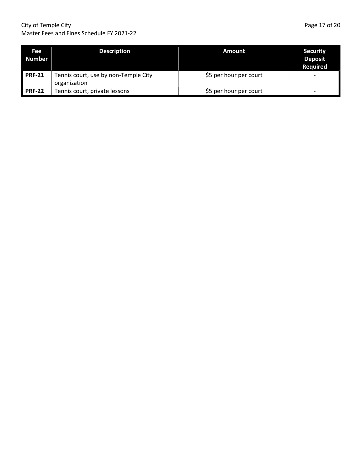#### City of Temple City **Page 17 of 20** Master Fees and Fines Schedule FY 2021-22

| Fee<br><b>Number</b> | <b>Description</b>                                   | Amount                 | <b>Security</b><br><b>Deposit</b><br><b>Required</b> |
|----------------------|------------------------------------------------------|------------------------|------------------------------------------------------|
| $PRF-21$             | Tennis court, use by non-Temple City<br>organization | \$5 per hour per court | $\overline{\phantom{0}}$                             |
| <b>PRF-22</b>        | Tennis court, private lessons                        | \$5 per hour per court | $\overline{\phantom{0}}$                             |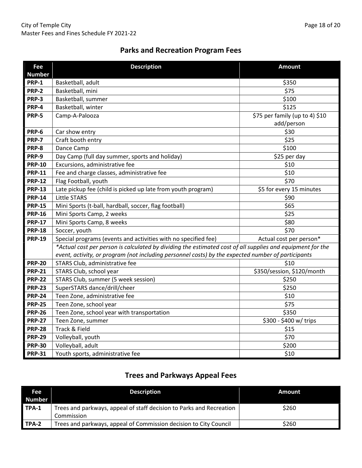#### Parks and Recreation Program Fees

| Fee<br><b>Number</b> | <b>Description</b>                                                                                         | <b>Amount</b>                  |  |
|----------------------|------------------------------------------------------------------------------------------------------------|--------------------------------|--|
| <b>PRP-1</b>         | Basketball, adult                                                                                          | \$350                          |  |
| <b>PRP-2</b>         | Basketball, mini                                                                                           | \$75                           |  |
| <b>PRP-3</b>         | Basketball, summer                                                                                         | \$100                          |  |
| <b>PRP-4</b>         | Basketball, winter                                                                                         | \$125                          |  |
| <b>PRP-5</b>         | Camp-A-Palooza                                                                                             | \$75 per family (up to 4) \$10 |  |
|                      |                                                                                                            | add/person                     |  |
| <b>PRP-6</b>         | Car show entry                                                                                             | \$30                           |  |
| <b>PRP-7</b>         | Craft booth entry                                                                                          | \$25                           |  |
| PRP-8                | Dance Camp                                                                                                 | \$100                          |  |
| PRP-9                | Day Camp (full day summer, sports and holiday)                                                             | \$25 per day                   |  |
| <b>PRP-10</b>        | Excursions, administrative fee                                                                             | \$10                           |  |
| <b>PRP-11</b>        | Fee and charge classes, administrative fee                                                                 | \$10                           |  |
| <b>PRP-12</b>        | Flag Football, youth                                                                                       | \$70                           |  |
| <b>PRP-13</b>        | Late pickup fee (child is picked up late from youth program)                                               | \$5 for every 15 minutes       |  |
| <b>PRP-14</b>        | <b>Little STARS</b>                                                                                        | \$90                           |  |
| <b>PRP-15</b>        | Mini Sports (t-ball, hardball, soccer, flag football)                                                      | \$65                           |  |
| <b>PRP-16</b>        | Mini Sports Camp, 2 weeks                                                                                  | \$25                           |  |
| <b>PRP-17</b>        | Mini Sports Camp, 8 weeks                                                                                  | \$80                           |  |
| <b>PRP-18</b>        | Soccer, youth                                                                                              | \$70                           |  |
| <b>PRP-19</b>        | Special programs (events and activities with no specified fee)                                             | Actual cost per person*        |  |
|                      | *Actual cost per person is calculated by dividing the estimated cost of all supplies and equipment for the |                                |  |
|                      | event, activity, or program (not including personnel costs) by the expected number of participants         |                                |  |
| <b>PRP-20</b>        | STARS Club, administrative fee                                                                             | \$10                           |  |
| <b>PRP-21</b>        | STARS Club, school year                                                                                    | \$350/session, \$120/month     |  |
| <b>PRP-22</b>        | STARS Club, summer (5 week session)                                                                        | \$250                          |  |
| <b>PRP-23</b>        | SuperSTARS dance/drill/cheer                                                                               | \$250                          |  |
| <b>PRP-24</b>        | Teen Zone, administrative fee                                                                              | \$10                           |  |
| <b>PRP-25</b>        | Teen Zone, school year                                                                                     | \$75                           |  |
| <b>PRP-26</b>        | Teen Zone, school year with transportation                                                                 | \$350                          |  |
| <b>PRP-27</b>        | Teen Zone, summer                                                                                          | \$300 - \$400 w/ trips         |  |
| <b>PRP-28</b>        | Track & Field                                                                                              | \$15                           |  |
| <b>PRP-29</b>        | Volleyball, youth                                                                                          | \$70                           |  |
| <b>PRP-30</b>        | Volleyball, adult                                                                                          | \$200                          |  |
| <b>PRP-31</b>        | Youth sports, administrative fee                                                                           | \$10                           |  |

## Trees and Parkways Appeal Fees

| Fee    | <b>Description</b>                                                   | <b>Amount</b> |
|--------|----------------------------------------------------------------------|---------------|
| Number |                                                                      |               |
| TPA-1  | Trees and parkways, appeal of staff decision to Parks and Recreation | \$260         |
|        | Commission                                                           |               |
| TPA-2  | Trees and parkways, appeal of Commission decision to City Council    | \$260         |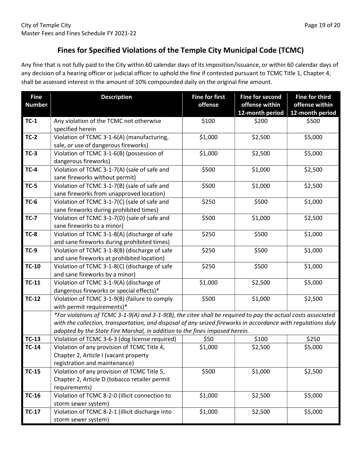#### Fines for Specified Violations of the Temple City Municipal Code (TCMC)

Any fine that is not fully paid to the City within 60 calendar days of its imposition/issuance, or within 60 calendar days of any decision of a hearing officer or judicial officer to uphold the fine if contested pursuant to TCMC Title 1, Chapter 4, shall be assessed interest in the amount of 10% compounded daily on the original fine amount.

| <b>Fine</b><br><b>Number</b> | <b>Description</b>                                                                                                    | <b>Fine for first</b><br>offense                                                                                                                                                                                                                                                                              | <b>Fine for second</b><br>offense within<br>12-month period | <b>Fine for third</b><br>offense within<br>12-month period |  |
|------------------------------|-----------------------------------------------------------------------------------------------------------------------|---------------------------------------------------------------------------------------------------------------------------------------------------------------------------------------------------------------------------------------------------------------------------------------------------------------|-------------------------------------------------------------|------------------------------------------------------------|--|
| $TC-1$                       | Any violation of the TCMC not otherwise<br>specified herein                                                           | \$100                                                                                                                                                                                                                                                                                                         | \$200                                                       | \$500                                                      |  |
| $TC-2$                       | Violation of TCMC 3-1-6(A) (manufacturing,<br>sale, or use of dangerous fireworks)                                    | \$1,000                                                                                                                                                                                                                                                                                                       | \$2,500                                                     | \$5,000                                                    |  |
| $TC-3$                       | Violation of TCMC 3-1-6(B) (possession of<br>dangerous fireworks)                                                     | \$1,000                                                                                                                                                                                                                                                                                                       | \$2,500                                                     | \$5,000                                                    |  |
| $TC-4$                       | Violation of TCMC 3-1-7(A) (sale of safe and<br>sane fireworks without permit)                                        | \$500                                                                                                                                                                                                                                                                                                         | \$1,000                                                     | \$2,500                                                    |  |
| $TC-5$                       | Violation of TCMC 3-1-7(B) (sale of safe and<br>sane fireworks from unapproved location)                              | \$500                                                                                                                                                                                                                                                                                                         | \$1,000                                                     | \$2,500                                                    |  |
| <b>TC-6</b>                  | Violation of TCMC 3-1-7(C) (sale of safe and<br>sane fireworks during prohibited times)                               | \$250                                                                                                                                                                                                                                                                                                         | \$500                                                       | \$1,000                                                    |  |
| <b>TC-7</b>                  | Violation of TCMC 3-1-7(D) (sale of safe and<br>sane fireworks to a minor)                                            | \$500                                                                                                                                                                                                                                                                                                         | \$1,000                                                     | \$2,500                                                    |  |
| <b>TC-8</b>                  | Violation of TCMC 3-1-8(A) (discharge of safe<br>and sane fireworks during prohibited times)                          | \$250                                                                                                                                                                                                                                                                                                         | \$500                                                       | \$1,000                                                    |  |
| $TC-9$                       | Violation of TCMC 3-1-8(B) (discharge of safe<br>and sane fireworks at prohibited location)                           | \$250                                                                                                                                                                                                                                                                                                         | \$500                                                       | \$1,000                                                    |  |
| $TC-10$                      | Violation of TCMC 3-1-8(C) (discharge of safe<br>and sane fireworks by a minor)                                       | \$250                                                                                                                                                                                                                                                                                                         | \$500                                                       | \$1,000                                                    |  |
| $TC-11$                      | Violation of TCMC 3-1-9(A) (discharge of<br>dangerous fireworks or special effects)*                                  | \$1,000                                                                                                                                                                                                                                                                                                       | \$2,500                                                     | \$5,000                                                    |  |
| $TC-12$                      | Violation of TCMC 3-1-9(B) (failure to comply<br>with permit requirements)*                                           | \$500                                                                                                                                                                                                                                                                                                         | \$1,000                                                     | \$2,500                                                    |  |
|                              |                                                                                                                       | *For violations of TCMC 3-1-9(A) and 3-1-9(B), the citee shall be required to pay the actual costs associated<br>with the collection, transportation, and disposal of any seized fireworks in accordance with regulations duly<br>adopted by the State Fire Marshal, in addition to the fines imposed herein. |                                                             |                                                            |  |
| $TC-13$                      | Violation of TCMC 3-6-3 (dog license required)                                                                        | \$50                                                                                                                                                                                                                                                                                                          | \$100                                                       | \$250                                                      |  |
| $TC-14$                      | Violation of any provision of TCMC Title 4,<br>Chapter 2, Article I (vacant property<br>registration and maintenance) | \$1,000                                                                                                                                                                                                                                                                                                       | \$2,500                                                     | \$5,000                                                    |  |
| $TC-15$                      | Violation of any provision of TCMC Title 5,<br>Chapter 2, Article D (tobacco retailer permit<br>requirements)         | \$500                                                                                                                                                                                                                                                                                                         | \$1,000                                                     | \$2,500                                                    |  |
| $TC-16$                      | Violation of TCMC 8-2-0 (illicit connection to<br>storm sewer system)                                                 | \$1,000                                                                                                                                                                                                                                                                                                       | \$2,500                                                     | \$5,000                                                    |  |
| $TC-17$                      | Violation of TCMC 8-2-1 (illicit discharge into<br>storm sewer system)                                                | \$1,000                                                                                                                                                                                                                                                                                                       | \$2,500                                                     | \$5,000                                                    |  |